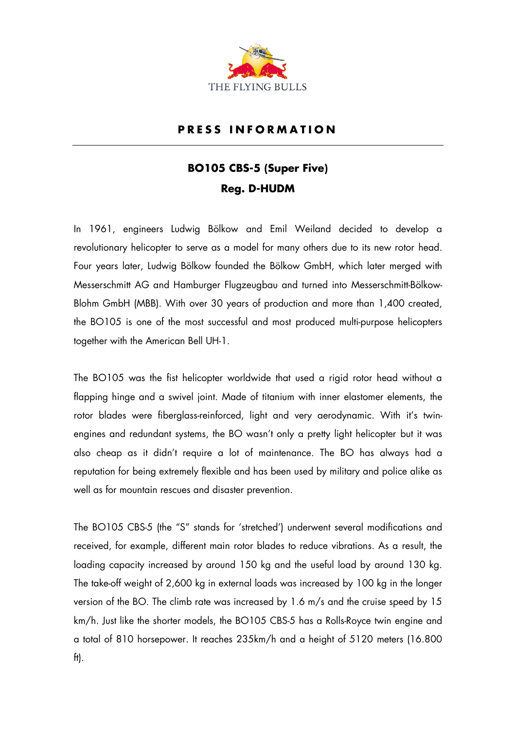

## **P R E S S I N F O R M A T I O N**

## **BO105 CBS-5 (Super Five) Reg. D-HUDM**

In 1961, engineers Ludwig Bölkow and Emil Weiland decided to develop a revolutionary helicopter to serve as a model for many others due to its new rotor head. Four years later, Ludwig Bölkow founded the Bölkow GmbH, which later merged with Messerschmitt AG and Hamburger Flugzeugbau and turned into Messerschmitt-Bölkow-Blohm GmbH (MBB). With over 30 years of production and more than 1,400 created, the BO105 is one of the most successful and most produced multi-purpose helicopters together with the American Bell UH-1.

The BO105 was the fist helicopter worldwide that used a rigid rotor head without a flapping hinge and a swivel joint. Made of titanium with inner elastomer elements, the rotor blades were fiberglass-reinforced, light and very aerodynamic. With it's twinengines and redundant systems, the BO wasn't only a pretty light helicopter but it was also cheap as it didn't require a lot of maintenance. The BO has always had a reputation for being extremely flexible and has been used by military and police alike as well as for mountain rescues and disaster prevention.

The BO105 CBS-5 (the "S" stands for 'stretched') underwent several modifications and received, for example, different main rotor blades to reduce vibrations. As a result, the loading capacity increased by around 150 kg and the useful load by around 130 kg. The take-off weight of 2,600 kg in external loads was increased by 100 kg in the longer version of the BO. The climb rate was increased by 1.6 m/s and the cruise speed by 15 km/h. Just like the shorter models, the BO105 CBS-5 has a Rolls-Royce twin engine and a total of 810 horsepower. It reaches 235km/h and a height of 5120 meters (16.800 ft).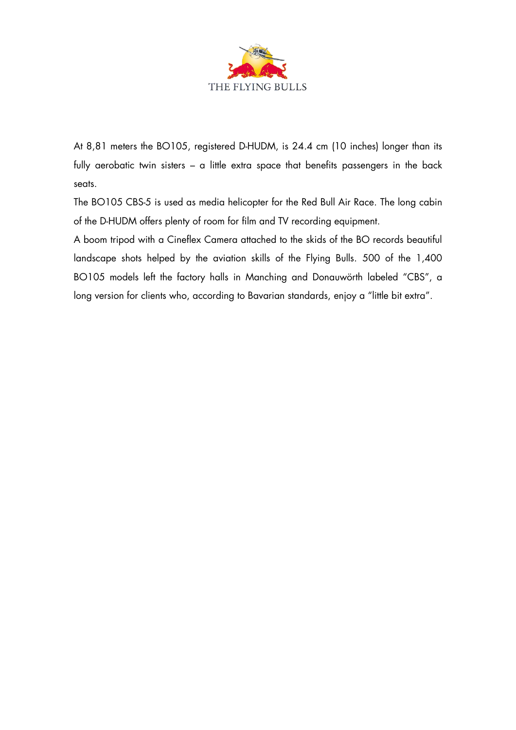

At 8,81 meters the BO105, registered D-HUDM, is 24.4 cm (10 inches) longer than its fully aerobatic twin sisters - a little extra space that benefits passengers in the back seats.

The BO105 CBS-5 is used as media helicopter for the Red Bull Air Race. The long cabin of the D-HUDM offers plenty of room for film and TV recording equipment.

A boom tripod with a Cineflex Camera attached to the skids of the BO records beautiful landscape shots helped by the aviation skills of the Flying Bulls. 500 of the 1,400 BO105 models left the factory halls in Manching and Donauwörth labeled "CBS", a long version for clients who, according to Bavarian standards, enjoy a "little bit extra".